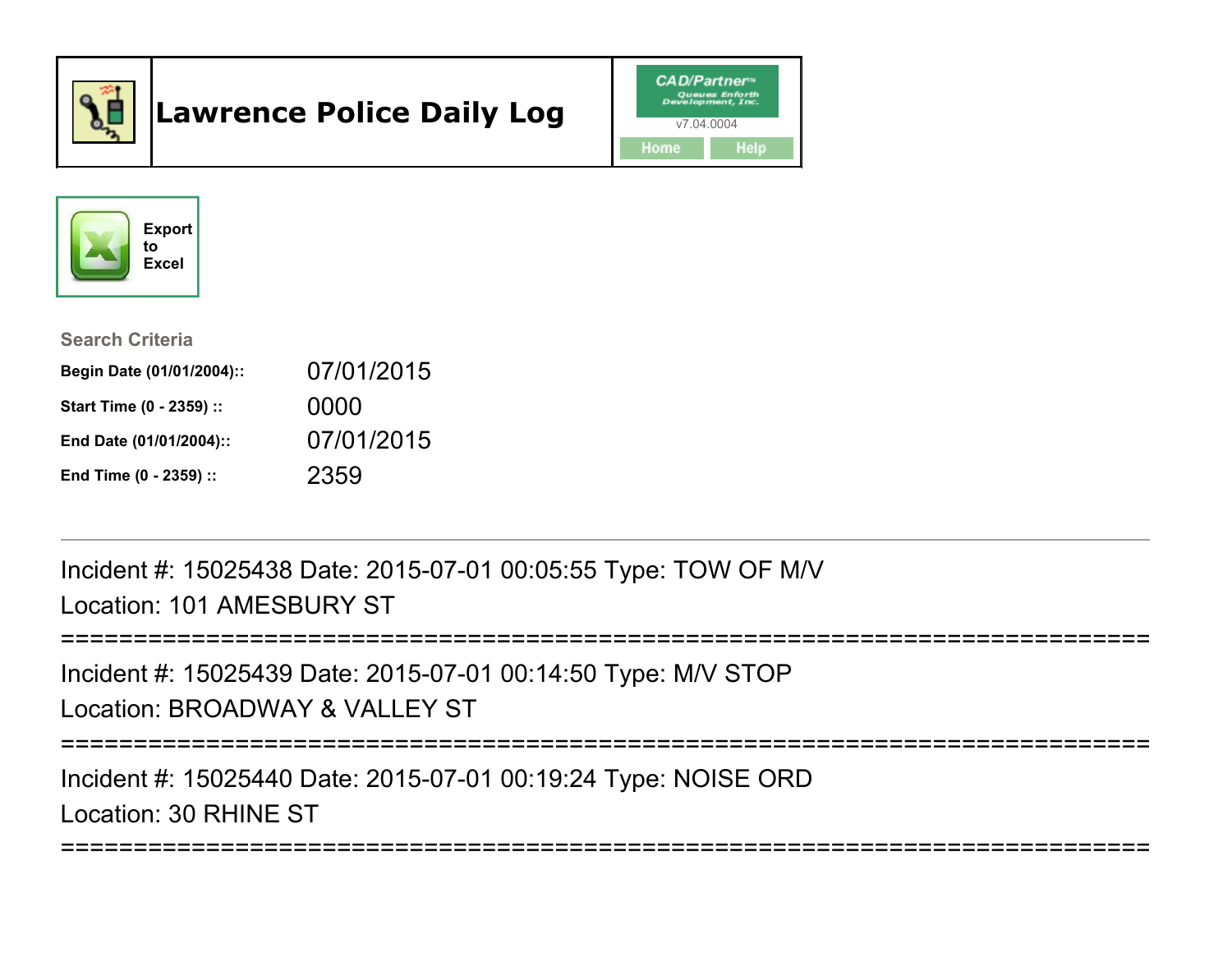

# Lawrence Police Daily Log





Search Criteria

| Begin Date (01/01/2004):: | 07/01/2015 |
|---------------------------|------------|
| Start Time (0 - 2359) ::  | 0000       |
| End Date (01/01/2004)::   | 07/01/2015 |
| End Time (0 - 2359) ::    | 2359       |

Incident #: 15025438 Date: 2015-07-01 00:05:55 Type: TOW OF M/VLocation: 101 AMESBURY ST

```
===========================================================================
```
Incident #: 15025439 Date: 2015-07-01 00:14:50 Type: M/V STOPLocation: BROADWAY & VALLEY ST

===========================================================================

===========================================================================

Incident #: 15025440 Date: 2015-07-01 00:19:24 Type: NOISE ORDLocation: 30 RHINE ST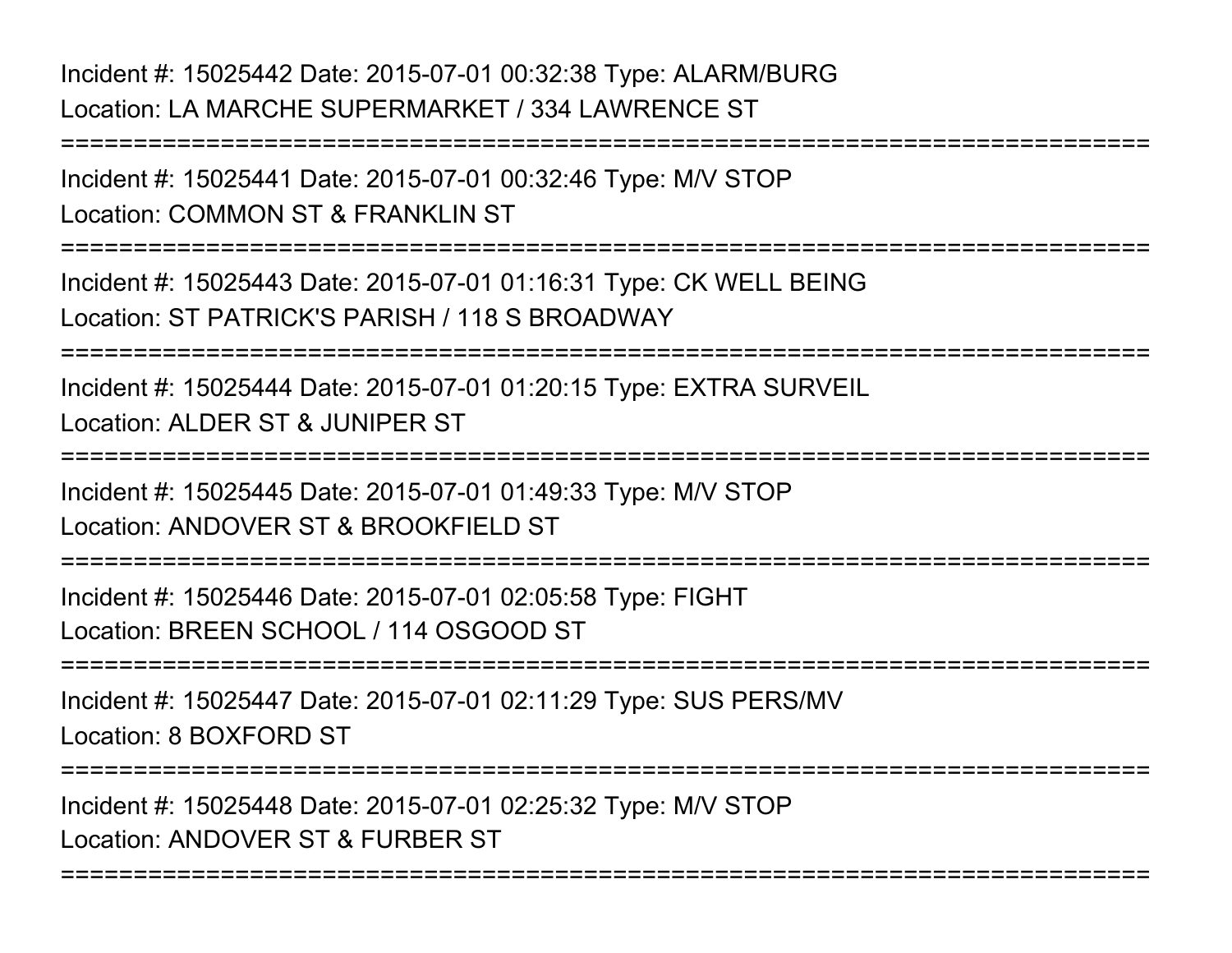Incident #: 15025442 Date: 2015-07-01 00:32:38 Type: ALARM/BURGLocation: LA MARCHE SUPERMARKET / 334 LAWRENCE ST

===========================================================================Incident #: 15025441 Date: 2015-07-01 00:32:46 Type: M/V STOPLocation: COMMON ST & FRANKLIN ST ===========================================================================Incident #: 15025443 Date: 2015-07-01 01:16:31 Type: CK WELL BEINGLocation: ST PATRICK'S PARISH / 118 S BROADWAY===========================================================================Incident #: 15025444 Date: 2015-07-01 01:20:15 Type: EXTRA SURVEILLocation: ALDER ST & JUNIPER ST===========================================================================Incident #: 15025445 Date: 2015-07-01 01:49:33 Type: M/V STOPLocation: ANDOVER ST & BROOKFIELD ST===========================================================================Incident #: 15025446 Date: 2015-07-01 02:05:58 Type: FIGHTLocation: BREEN SCHOOL / 114 OSGOOD ST===========================================================================Incident #: 15025447 Date: 2015-07-01 02:11:29 Type: SUS PERS/MVLocation: 8 BOXFORD ST===========================================================================Incident #: 15025448 Date: 2015-07-01 02:25:32 Type: M/V STOPLocation: ANDOVER ST & FURBER ST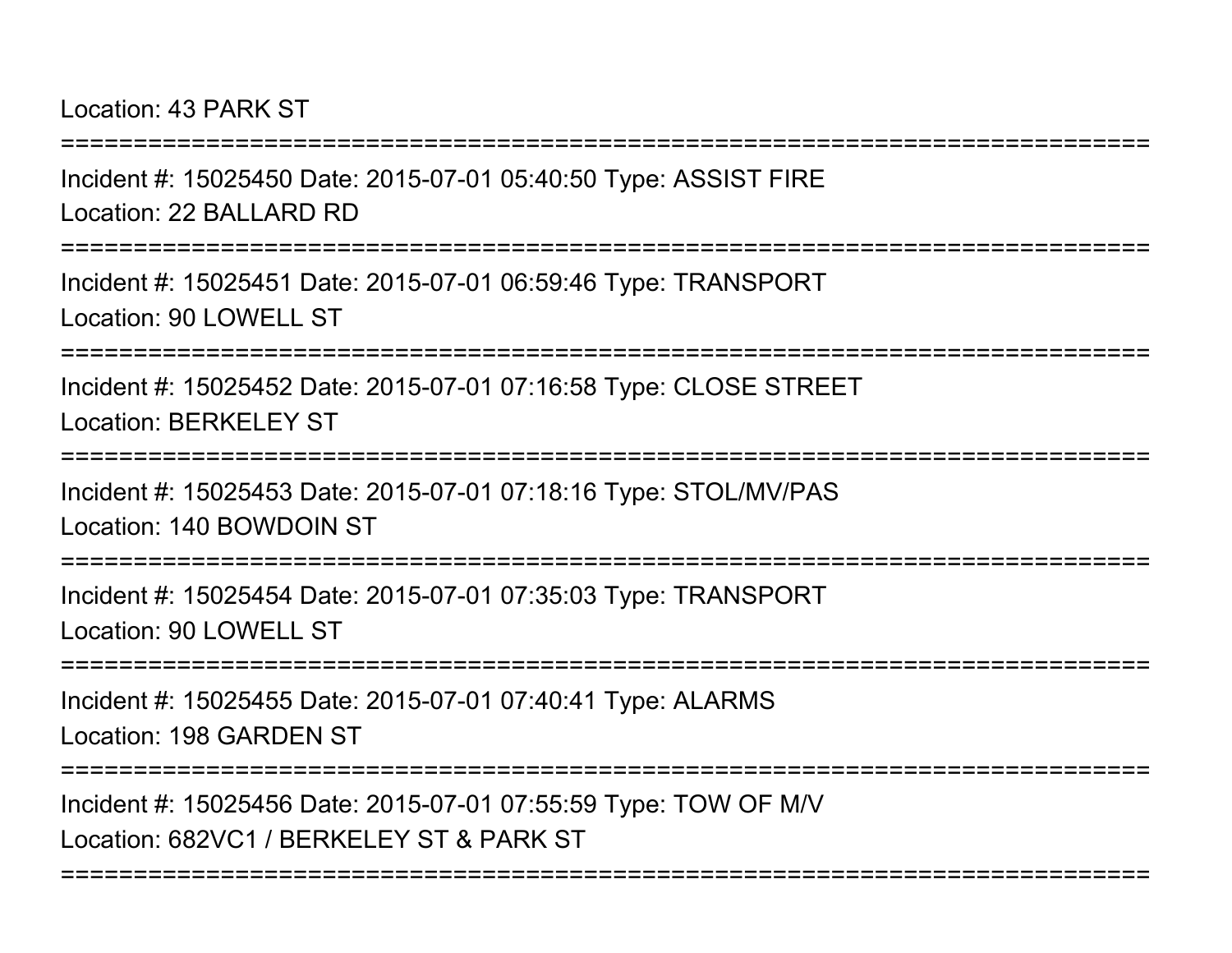Location: 43 PARK ST

===========================================================================Incident #: 15025450 Date: 2015-07-01 05:40:50 Type: ASSIST FIRELocation: 22 BALLARD RD===========================================================================Incident #: 15025451 Date: 2015-07-01 06:59:46 Type: TRANSPORTLocation: 90 LOWELL ST ===========================================================================Incident #: 15025452 Date: 2015-07-01 07:16:58 Type: CLOSE STREETLocation: BERKELEY ST================= Incident #: 15025453 Date: 2015-07-01 07:18:16 Type: STOL/MV/PASLocation: 140 BOWDOIN ST===========================================================================Incident #: 15025454 Date: 2015-07-01 07:35:03 Type: TRANSPORTLocation: 90 LOWELL ST===========================================================================Incident #: 15025455 Date: 2015-07-01 07:40:41 Type: ALARMSLocation: 198 GARDEN ST===========================================================================Incident #: 15025456 Date: 2015-07-01 07:55:59 Type: TOW OF M/VLocation: 682VC1 / BERKELEY ST & PARK ST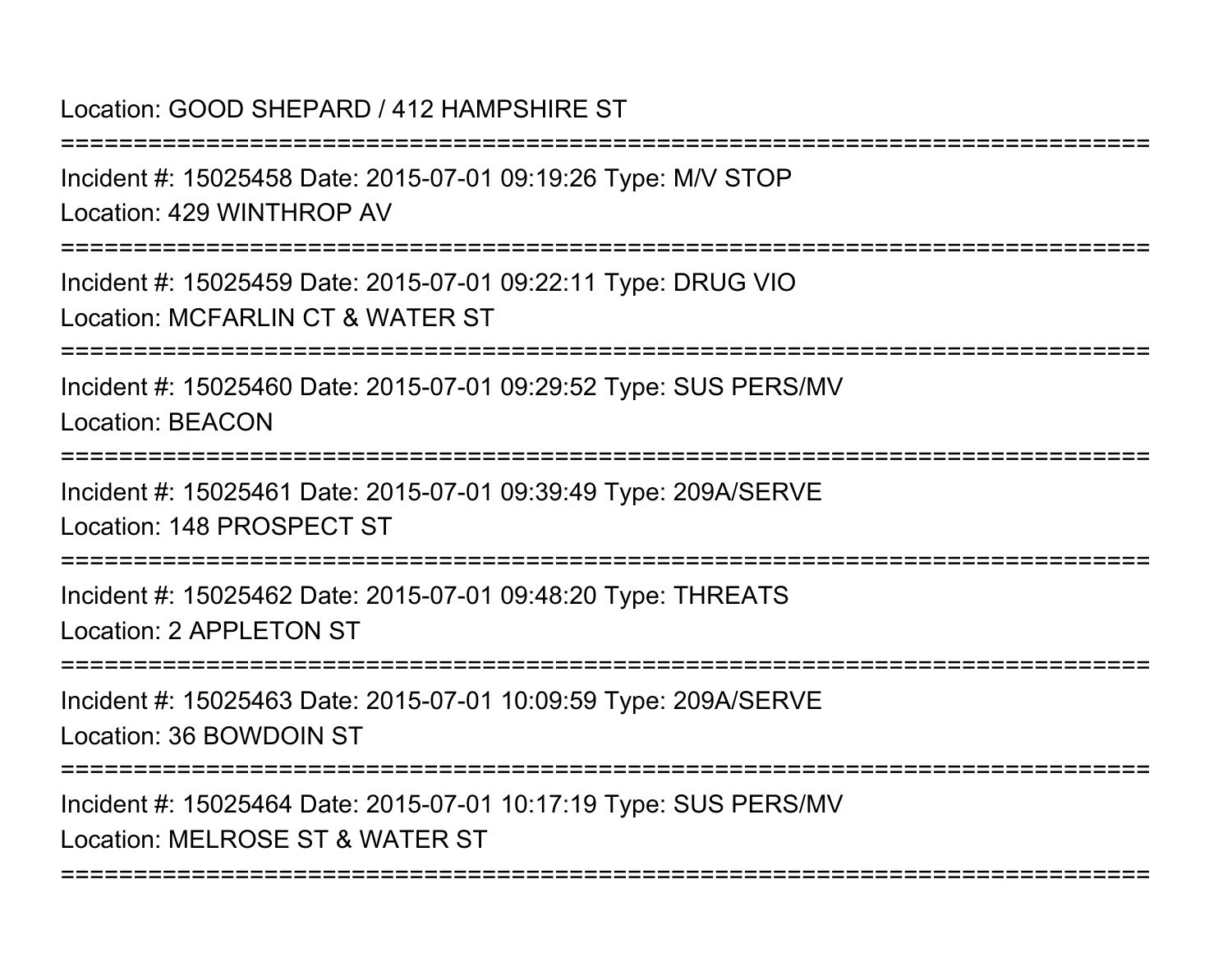Location: GOOD SHEPARD / 412 HAMPSHIRE ST

===========================================================================Incident #: 15025458 Date: 2015-07-01 09:19:26 Type: M/V STOPLocation: 429 WINTHROP AV===========================================================================Incident #: 15025459 Date: 2015-07-01 09:22:11 Type: DRUG VIOLocation: MCFARLIN CT & WATER ST===========================================================================Incident #: 15025460 Date: 2015-07-01 09:29:52 Type: SUS PERS/MVLocation: BEACON ===========================================================================Incident #: 15025461 Date: 2015-07-01 09:39:49 Type: 209A/SERVELocation: 148 PROSPECT ST===========================================================================Incident #: 15025462 Date: 2015-07-01 09:48:20 Type: THREATSLocation: 2 APPL FTON ST ===========================================================================Incident #: 15025463 Date: 2015-07-01 10:09:59 Type: 209A/SERVELocation: 36 BOWDOIN ST===========================================================================Incident #: 15025464 Date: 2015-07-01 10:17:19 Type: SUS PERS/MVLocation: MELROSE ST & WATER ST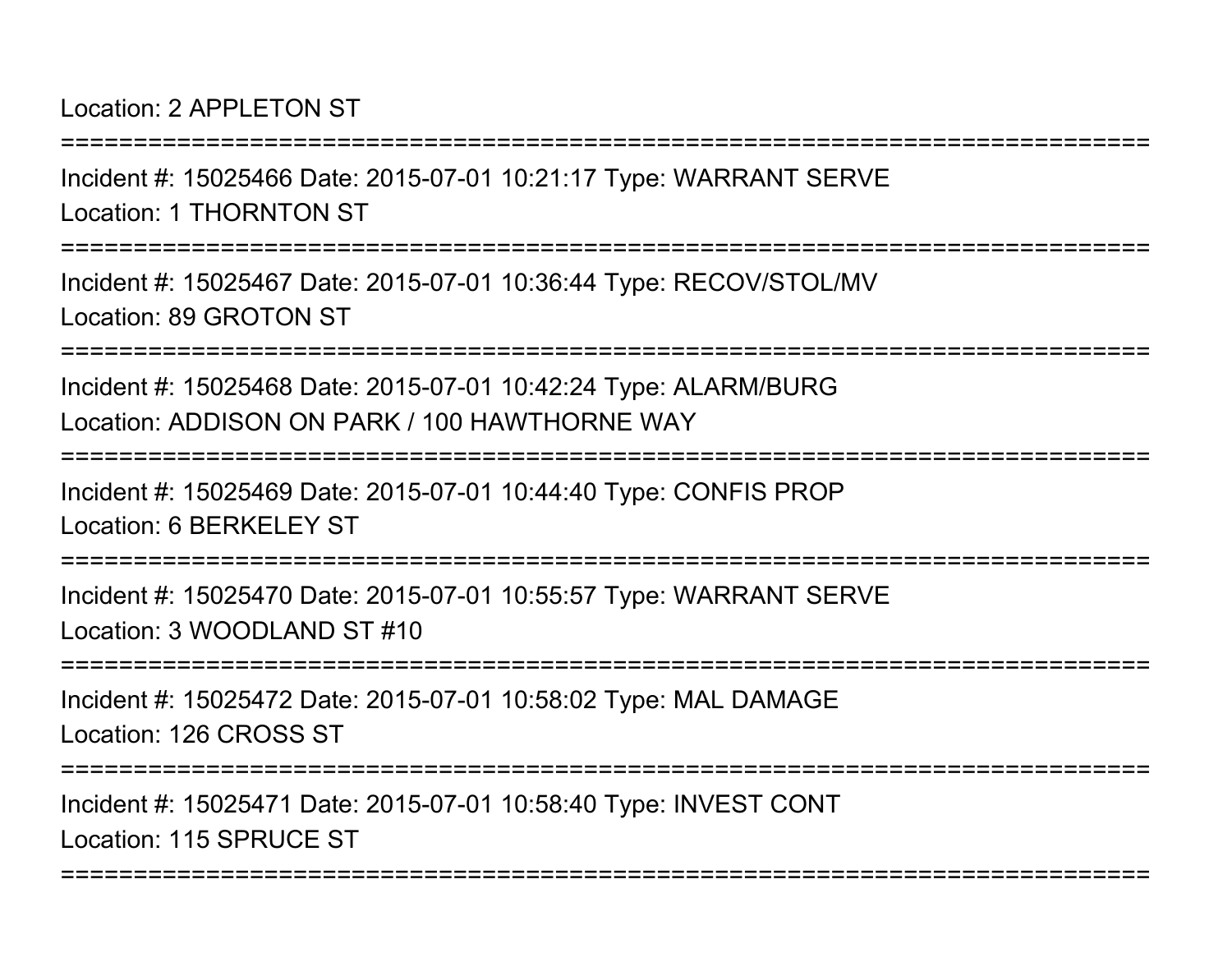#### Location: 2 APPL FTON ST

Incident #: 15025466 Date: 2015-07-01 10:21:17 Type: WARRANT SERVELocation: 1 THORNTON ST

===========================================================================

===========================================================================

Incident #: 15025467 Date: 2015-07-01 10:36:44 Type: RECOV/STOL/MVLocation: 89 GROTON ST

===========================================================================

Incident #: 15025468 Date: 2015-07-01 10:42:24 Type: ALARM/BURGLocation: ADDISON ON PARK / 100 HAWTHORNE WAY

===========================================================================

Incident #: 15025469 Date: 2015-07-01 10:44:40 Type: CONFIS PROPLocation: 6 BERKELEY ST

===========================================================================

Incident #: 15025470 Date: 2015-07-01 10:55:57 Type: WARRANT SERVELocation: 3 WOODLAND ST #10

===========================================================================

Incident #: 15025472 Date: 2015-07-01 10:58:02 Type: MAL DAMAGELocation: 126 CROSS ST

===========================================================================

===========================================================================

Incident #: 15025471 Date: 2015-07-01 10:58:40 Type: INVEST CONTLocation: 115 SPRUCE ST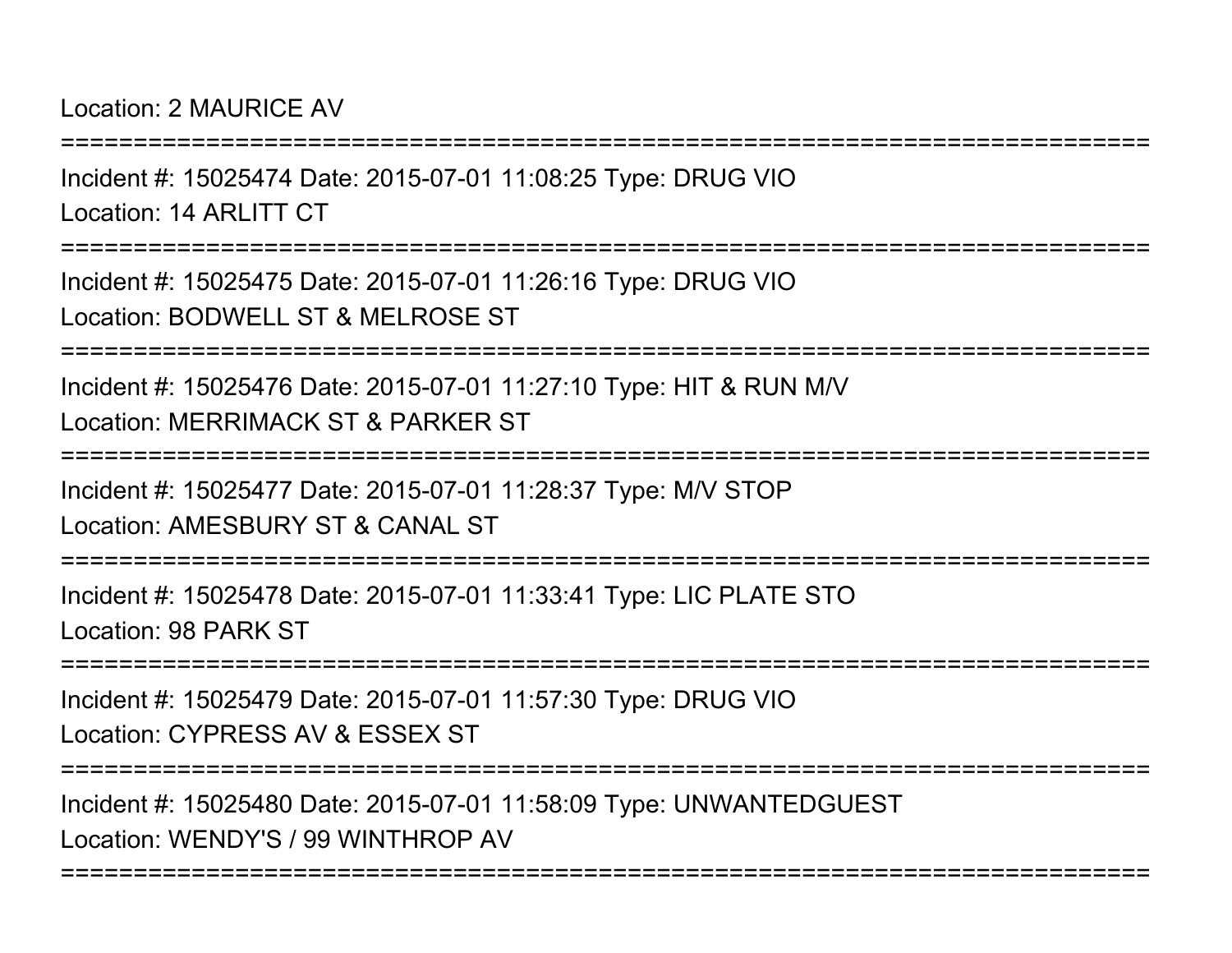Location: 2 MAURICE AV

===========================================================================Incident #: 15025474 Date: 2015-07-01 11:08:25 Type: DRUG VIOLocation: 14 ARLITT CT===========================================================================Incident #: 15025475 Date: 2015-07-01 11:26:16 Type: DRUG VIOLocation: BODWELL ST & MELROSE ST===========================================================================Incident #: 15025476 Date: 2015-07-01 11:27:10 Type: HIT & RUN M/VLocation: MERRIMACK ST & PARKER ST===========================================================================Incident #: 15025477 Date: 2015-07-01 11:28:37 Type: M/V STOPLocation: AMESBURY ST & CANAL ST===========================================================================Incident #: 15025478 Date: 2015-07-01 11:33:41 Type: LIC PLATE STOLocation: 98 PARK ST===========================================================================Incident #: 15025479 Date: 2015-07-01 11:57:30 Type: DRUG VIOLocation: CYPRESS AV & ESSEX ST===========================================================================Incident #: 15025480 Date: 2015-07-01 11:58:09 Type: UNWANTEDGUESTLocation: WENDY'S / 99 WINTHROP AV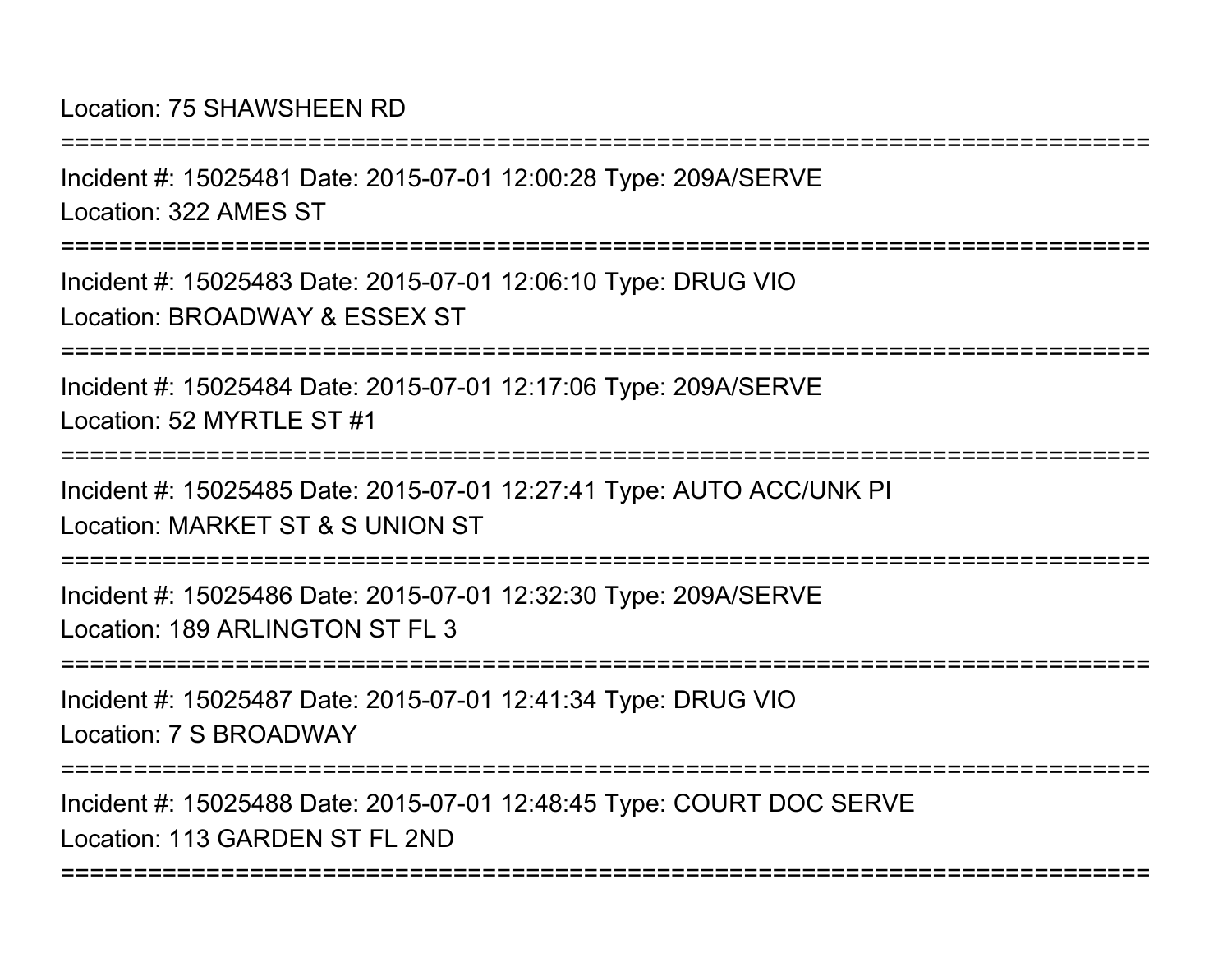===========================================================================Incident #: 15025481 Date: 2015-07-01 12:00:28 Type: 209A/SERVELocation: 322 AMES ST===========================================================================Incident #: 15025483 Date: 2015-07-01 12:06:10 Type: DRUG VIOLocation: BROADWAY & ESSEX ST===========================================================================Incident #: 15025484 Date: 2015-07-01 12:17:06 Type: 209A/SERVELocation: 52 MYRTLE ST #1 ===========================================================================Incident #: 15025485 Date: 2015-07-01 12:27:41 Type: AUTO ACC/UNK PILocation: MARKET ST & S UNION ST===========================================================================Incident #: 15025486 Date: 2015-07-01 12:32:30 Type: 209A/SERVELocation: 189 ARLINGTON ST FL 3===========================================================================Incident #: 15025487 Date: 2015-07-01 12:41:34 Type: DRUG VIOLocation: 7 S BROADWAY===========================================================================Incident #: 15025488 Date: 2015-07-01 12:48:45 Type: COURT DOC SERVE

===========================================================================

Location: 113 GARDEN ST FL 2ND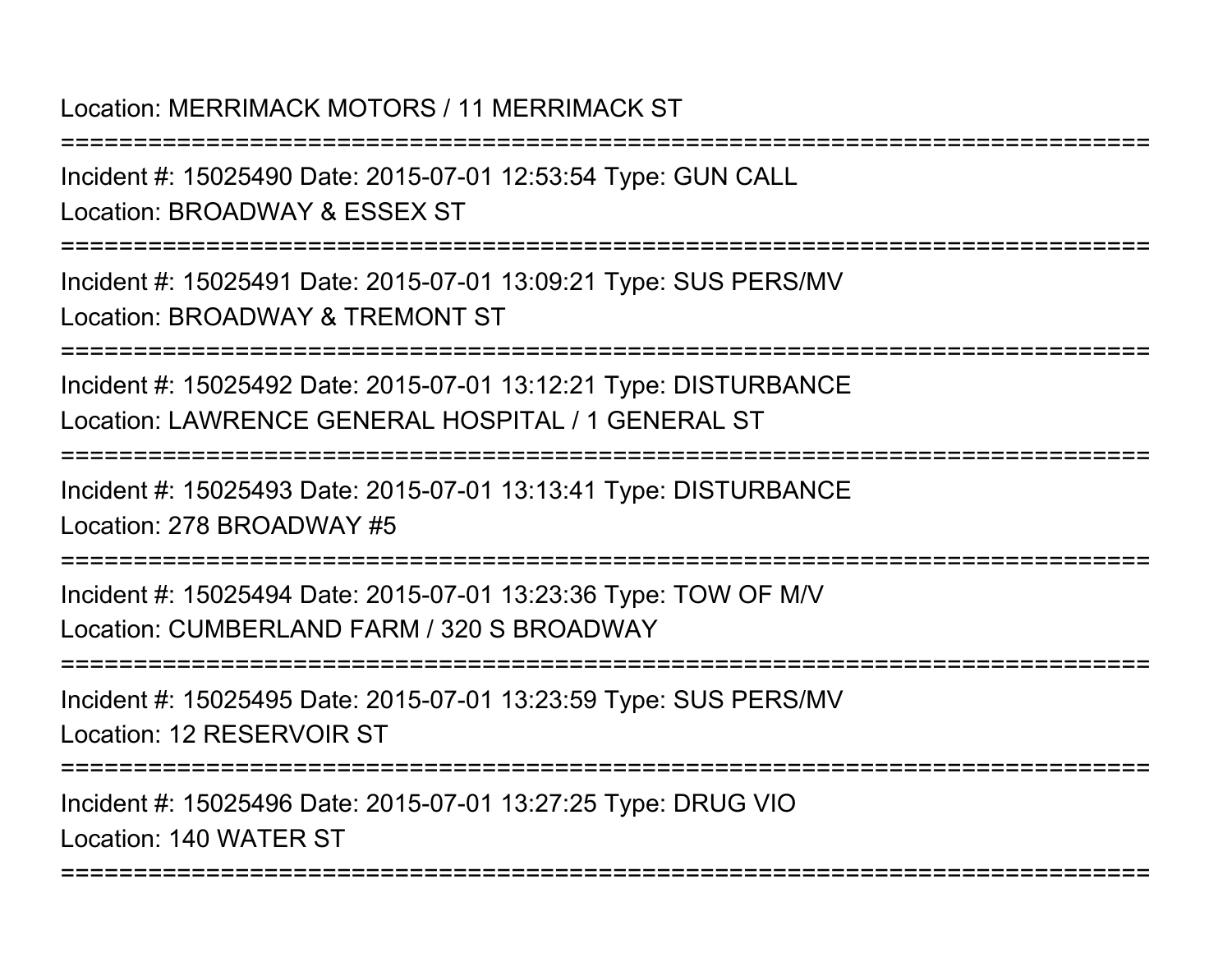### Location: MERRIMACK MOTORS / 11 MERRIMACK ST

Incident #: 15025490 Date: 2015-07-01 12:53:54 Type: GUN CALLLocation: BROADWAY & ESSEX ST

===========================================================================

===========================================================================

Incident #: 15025491 Date: 2015-07-01 13:09:21 Type: SUS PERS/MVLocation: BROADWAY & TREMONT ST

===========================================================================

Incident #: 15025492 Date: 2015-07-01 13:12:21 Type: DISTURBANCELocation: LAWRENCE GENERAL HOSPITAL / 1 GENERAL ST

===========================================================================

Incident #: 15025493 Date: 2015-07-01 13:13:41 Type: DISTURBANCELocation: 278 BROADWAY #5

===========================================================================

Incident #: 15025494 Date: 2015-07-01 13:23:36 Type: TOW OF M/VLocation: CUMBERLAND FARM / 320 S BROADWAY

===========================================================================

Incident #: 15025495 Date: 2015-07-01 13:23:59 Type: SUS PERS/MVLocation: 12 RESERVOIR ST

===========================================================================

===========================================================================

Incident #: 15025496 Date: 2015-07-01 13:27:25 Type: DRUG VIOLocation: 140 WATER ST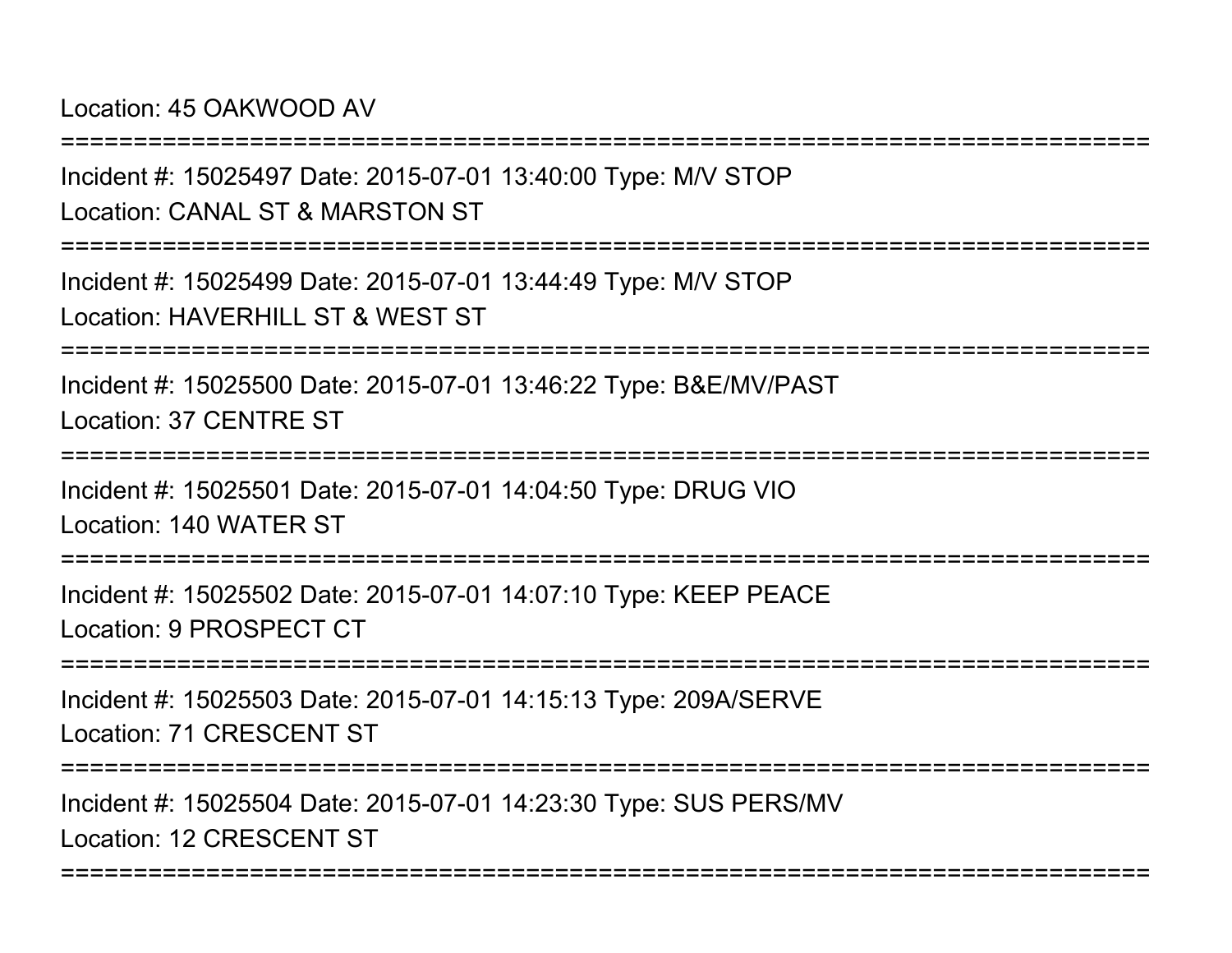Location: 45 OAKWOOD AV

===========================================================================Incident #: 15025497 Date: 2015-07-01 13:40:00 Type: M/V STOPLocation: CANAL ST & MARSTON ST===========================================================================Incident #: 15025499 Date: 2015-07-01 13:44:49 Type: M/V STOPLocation: HAVERHILL ST & WEST ST ===========================================================================Incident #: 15025500 Date: 2015-07-01 13:46:22 Type: B&E/MV/PASTLocation: 37 CENTRE ST================= Incident #: 15025501 Date: 2015-07-01 14:04:50 Type: DRUG VIOLocation: 140 WATER ST===========================================================================

Incident #: 15025502 Date: 2015-07-01 14:07:10 Type: KEEP PEACELocation: 9 PROSPECT CT

===========================================================================

Incident #: 15025503 Date: 2015-07-01 14:15:13 Type: 209A/SERVELocation: 71 CRESCENT ST

===========================================================================

===========================================================================

Incident #: 15025504 Date: 2015-07-01 14:23:30 Type: SUS PERS/MVLocation: 12 CRESCENT ST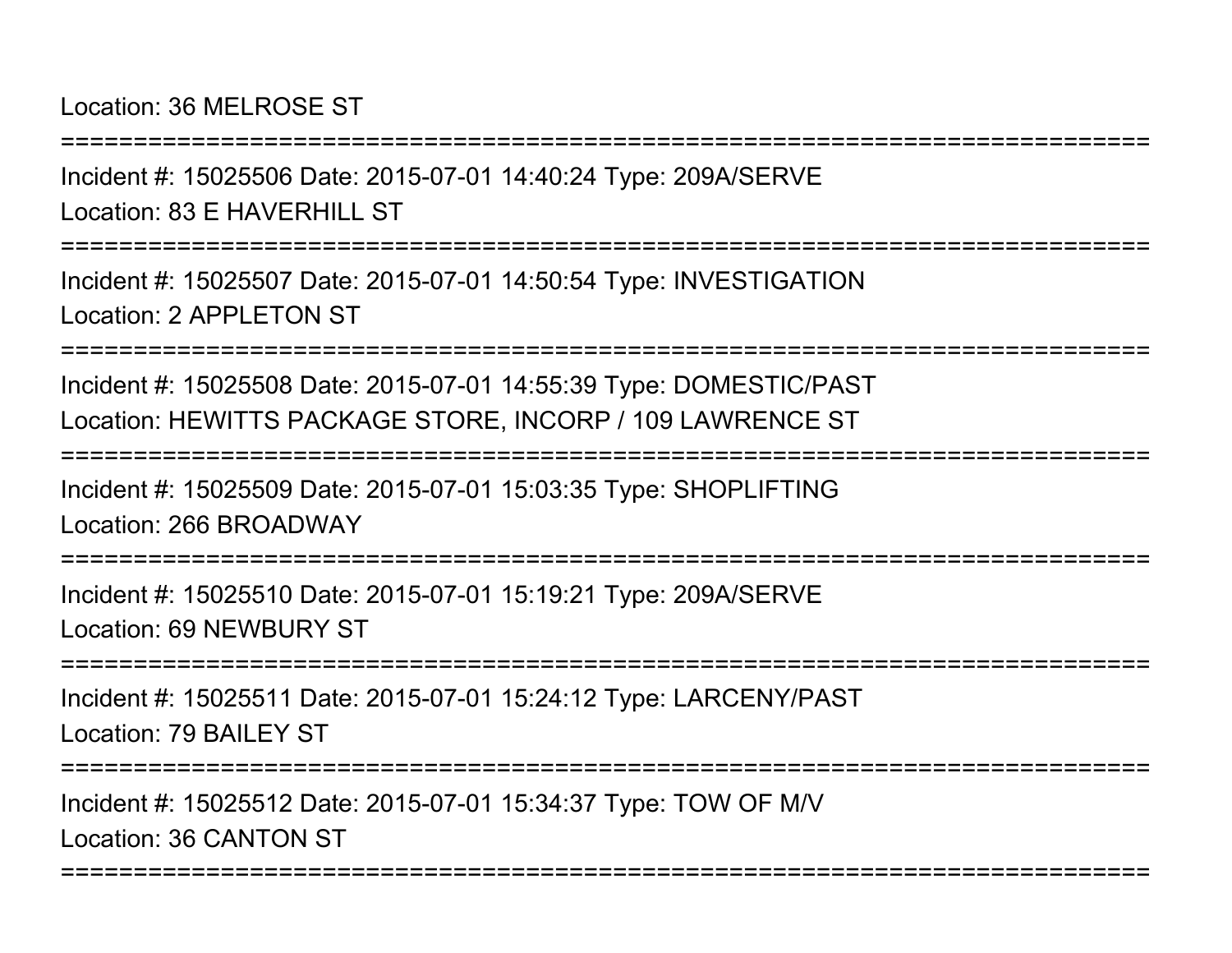### Location: 36 MELROSE ST

===========================================================================

Incident #: 15025506 Date: 2015-07-01 14:40:24 Type: 209A/SERVELocation: 83 F HAVERHILL ST

===========================================================================

Incident #: 15025507 Date: 2015-07-01 14:50:54 Type: INVESTIGATIONLocation: 2 APPL FTON ST

===========================================================================

Incident #: 15025508 Date: 2015-07-01 14:55:39 Type: DOMESTIC/PASTLocation: HEWITTS PACKAGE STORE, INCORP / 109 LAWRENCE ST

===========================================================================

Incident #: 15025509 Date: 2015-07-01 15:03:35 Type: SHOPLIFTINGLocation: 266 BROADWAY

===========================================================================

Incident #: 15025510 Date: 2015-07-01 15:19:21 Type: 209A/SERVELocation: 69 NEWBURY ST

===========================================================================

Incident #: 15025511 Date: 2015-07-01 15:24:12 Type: LARCENY/PASTLocation: 79 BAILEY ST

===========================================================================

===========================================================================

Incident #: 15025512 Date: 2015-07-01 15:34:37 Type: TOW OF M/VLocation: 36 CANTON ST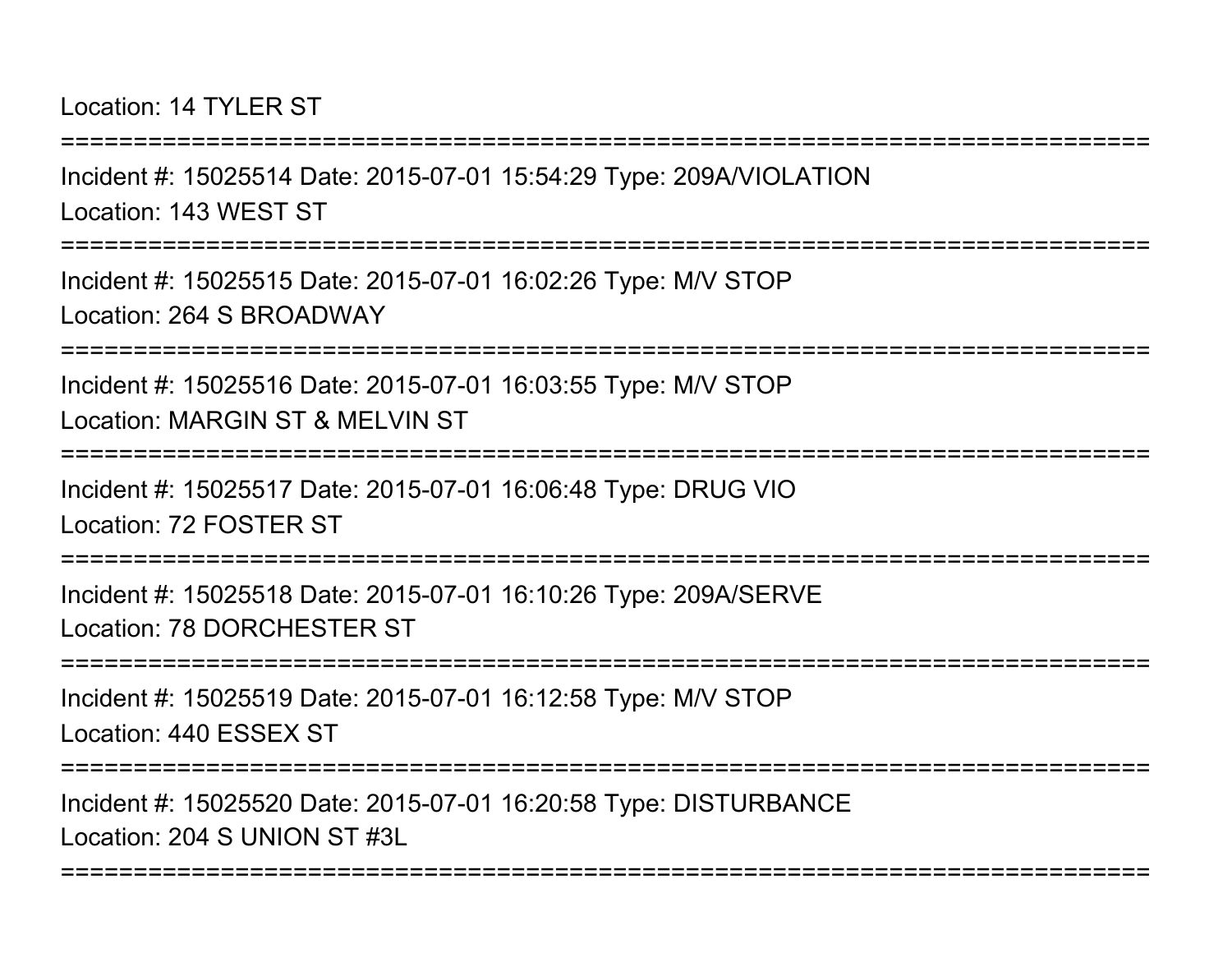#### Location: 14 TYLER ST

===========================================================================Incident #: 15025514 Date: 2015-07-01 15:54:29 Type: 209A/VIOLATIONLocation: 143 WEST ST===========================================================================Incident #: 15025515 Date: 2015-07-01 16:02:26 Type: M/V STOPLocation: 264 S BROADWAY===========================================================================Incident #: 15025516 Date: 2015-07-01 16:03:55 Type: M/V STOPLocation: MARGIN ST & MELVIN ST===========================================================================Incident #: 15025517 Date: 2015-07-01 16:06:48 Type: DRUG VIO

Location: 72 FOSTER ST

===========================================================================

Incident #: 15025518 Date: 2015-07-01 16:10:26 Type: 209A/SERVELocation: 78 DORCHESTER ST

===========================================================================

Incident #: 15025519 Date: 2015-07-01 16:12:58 Type: M/V STOPLocation: 440 ESSEX ST

===========================================================================

===========================================================================

Incident #: 15025520 Date: 2015-07-01 16:20:58 Type: DISTURBANCELocation: 204 S UNION ST #3L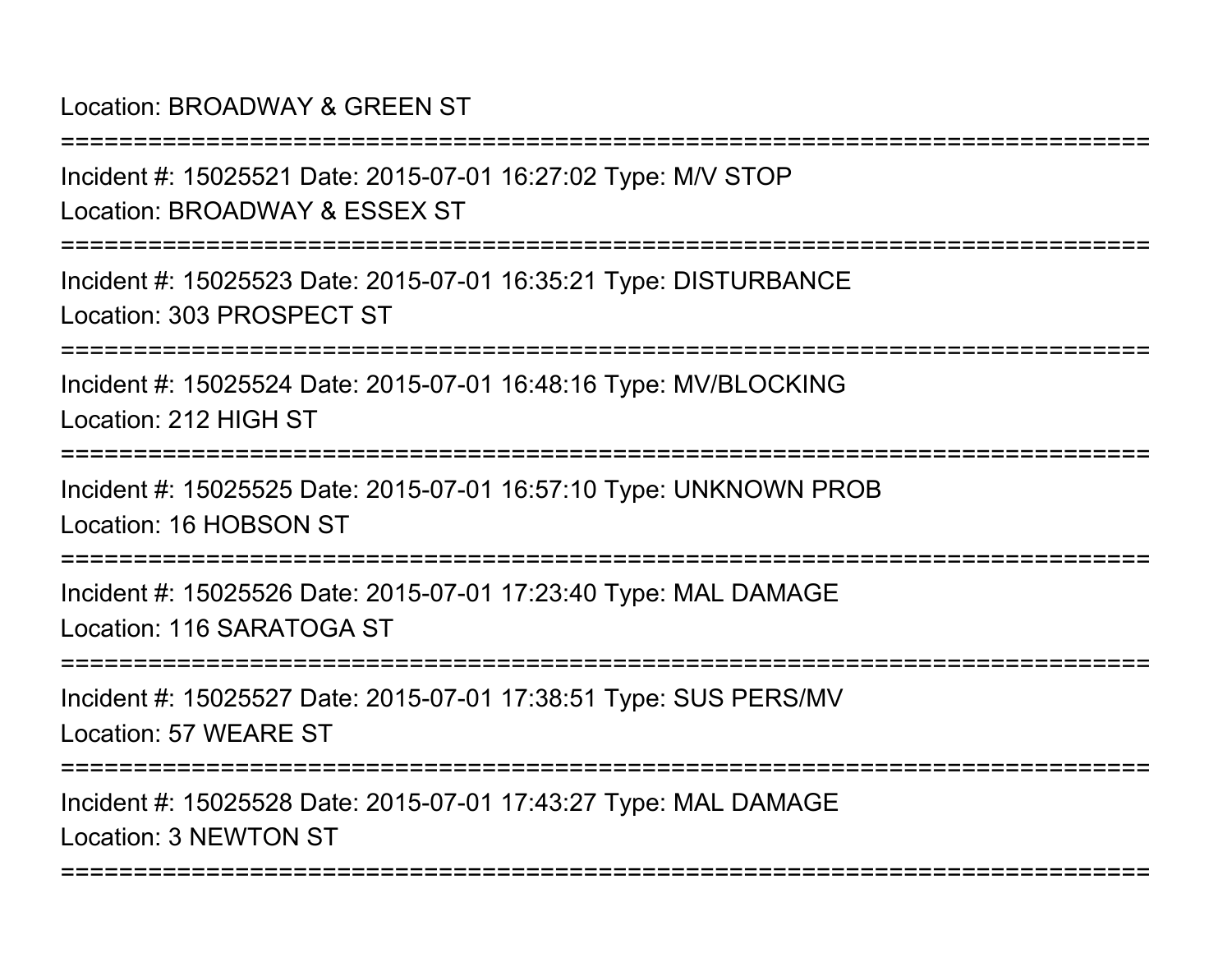#### Location: BROADWAY & GREEN ST

Incident #: 15025521 Date: 2015-07-01 16:27:02 Type: M/V STOPLocation: BROADWAY & ESSEX ST

===========================================================================

===========================================================================

Incident #: 15025523 Date: 2015-07-01 16:35:21 Type: DISTURBANCELocation: 303 PROSPECT ST

===========================================================================

Incident #: 15025524 Date: 2015-07-01 16:48:16 Type: MV/BLOCKINGLocation: 212 HIGH ST

===========================================================================

Incident #: 15025525 Date: 2015-07-01 16:57:10 Type: UNKNOWN PROBLocation: 16 HOBSON ST

===========================================================================

Incident #: 15025526 Date: 2015-07-01 17:23:40 Type: MAL DAMAGELocation: 116 SARATOGA ST

===========================================================================

Incident #: 15025527 Date: 2015-07-01 17:38:51 Type: SUS PERS/MVLocation: 57 WEARE ST

===========================================================================

===========================================================================

Incident #: 15025528 Date: 2015-07-01 17:43:27 Type: MAL DAMAGELocation: 3 NEWTON ST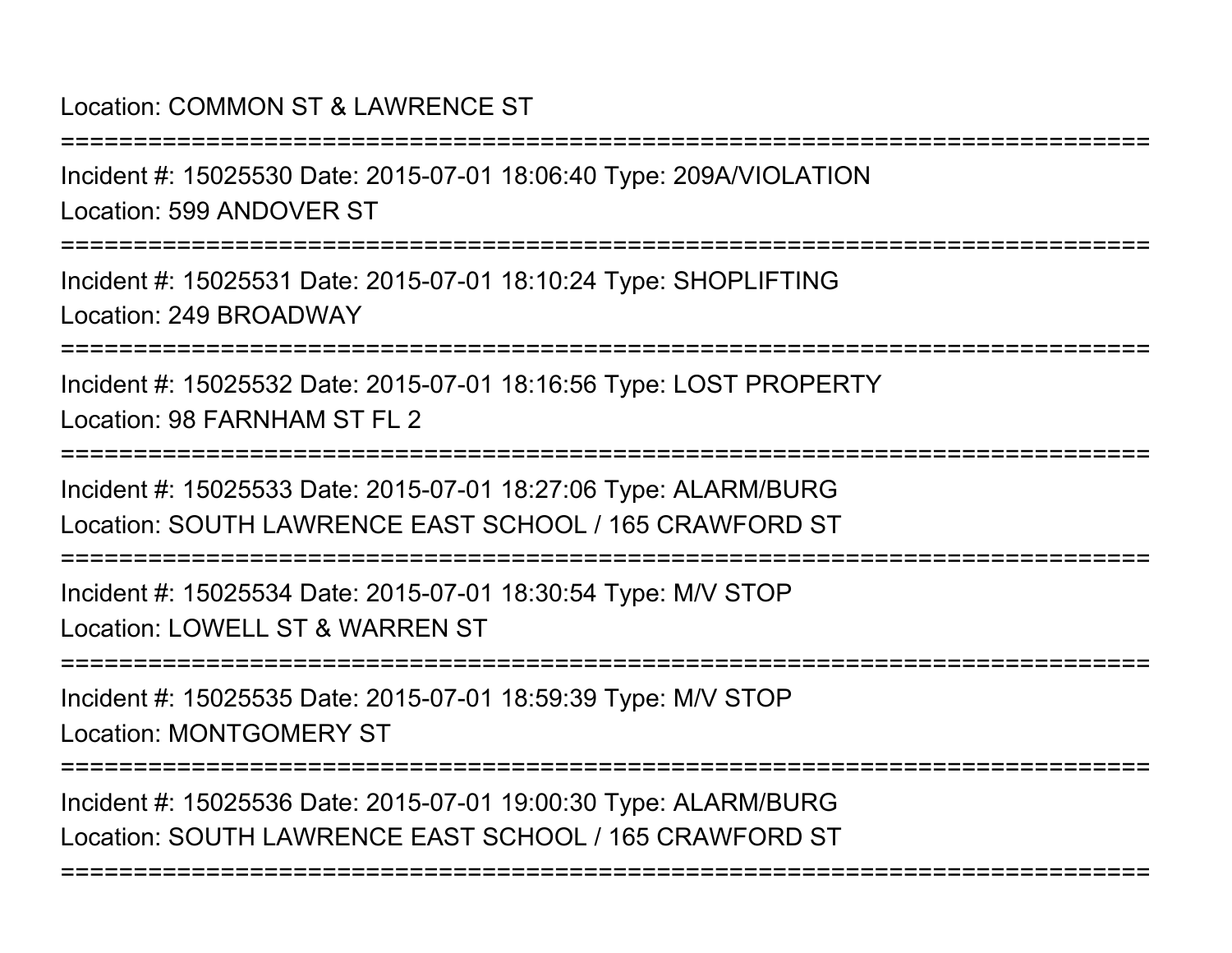## Location: COMMON ST & LAWRENCE ST

Incident #: 15025530 Date: 2015-07-01 18:06:40 Type: 209A/VIOLATIONLocation: 599 ANDOVER ST

===========================================================================

===========================================================================

Incident #: 15025531 Date: 2015-07-01 18:10:24 Type: SHOPLIFTINGLocation: 249 BROADWAY

===========================================================================

Incident #: 15025532 Date: 2015-07-01 18:16:56 Type: LOST PROPERTYLocation: 98 FARNHAM ST FL 2

===========================================================================

Incident #: 15025533 Date: 2015-07-01 18:27:06 Type: ALARM/BURGLocation: SOUTH LAWRENCE EAST SCHOOL / 165 CRAWFORD ST

===========================================================================

Incident #: 15025534 Date: 2015-07-01 18:30:54 Type: M/V STOPLocation: LOWELL ST & WARREN ST

===========================================================================

Incident #: 15025535 Date: 2015-07-01 18:59:39 Type: M/V STOPLocation: MONTGOMERY ST

===========================================================================

===========================================================================

Incident #: 15025536 Date: 2015-07-01 19:00:30 Type: ALARM/BURGLocation: SOUTH LAWRENCE EAST SCHOOL / 165 CRAWFORD ST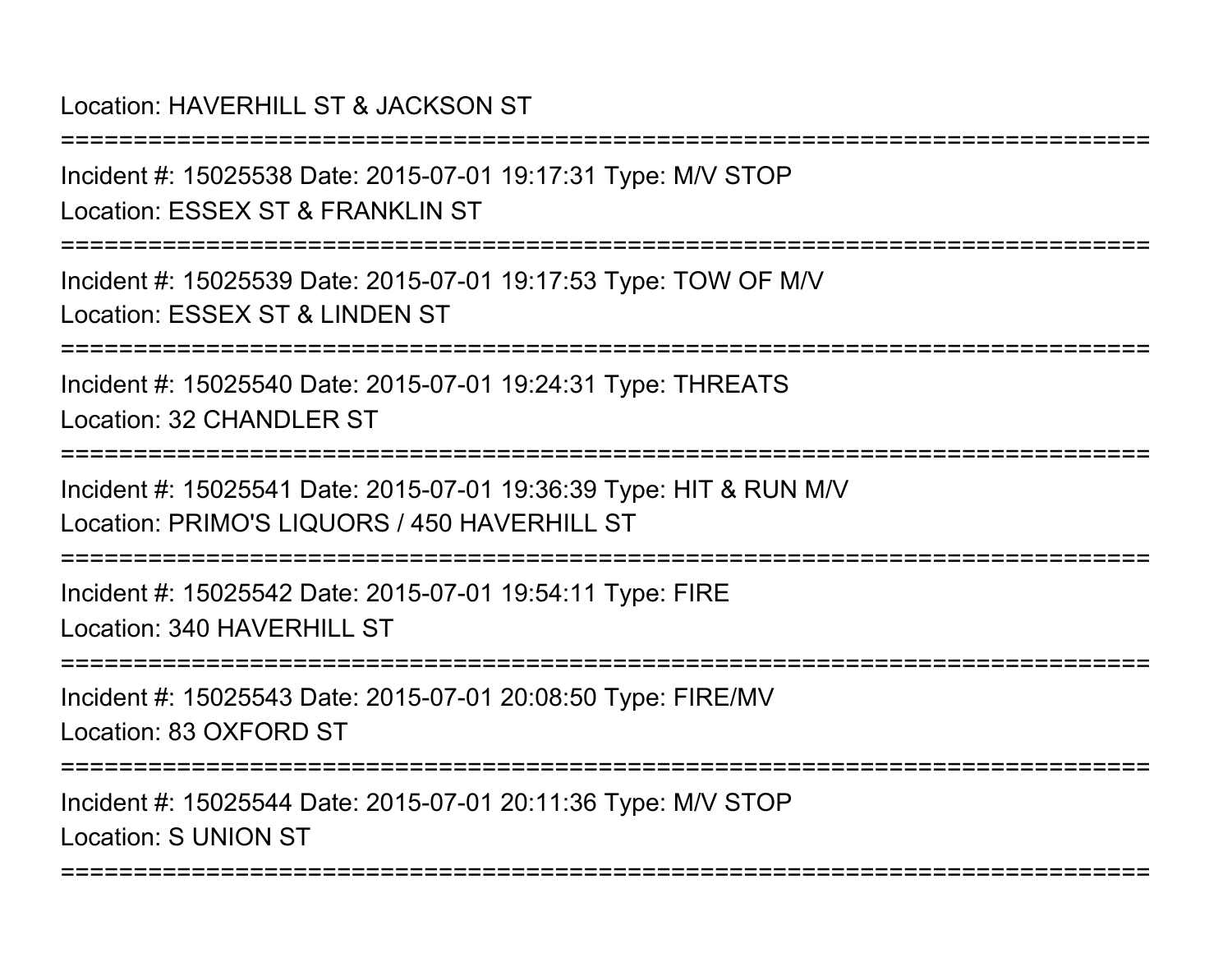## Location: HAVERHILL ST & JACKSON ST

===========================================================================Incident #: 15025538 Date: 2015-07-01 19:17:31 Type: M/V STOPLocation: ESSEX ST & FRANKLIN ST ===========================================================================Incident #: 15025539 Date: 2015-07-01 19:17:53 Type: TOW OF M/VLocation: ESSEX ST & LINDEN ST===========================================================================Incident #: 15025540 Date: 2015-07-01 19:24:31 Type: THREATSLocation: 32 CHANDLER ST ===========================================================================Incident #: 15025541 Date: 2015-07-01 19:36:39 Type: HIT & RUN M/VLocation: PRIMO'S LIQUORS / 450 HAVERHILL ST ===========================================================================Incident #: 15025542 Date: 2015-07-01 19:54:11 Type: FIRELocation: 340 HAVERHILL ST===========================================================================Incident #: 15025543 Date: 2015-07-01 20:08:50 Type: FIRE/MVLocation: 83 OXFORD ST===========================================================================Incident #: 15025544 Date: 2015-07-01 20:11:36 Type: M/V STOPLocation: S UNION ST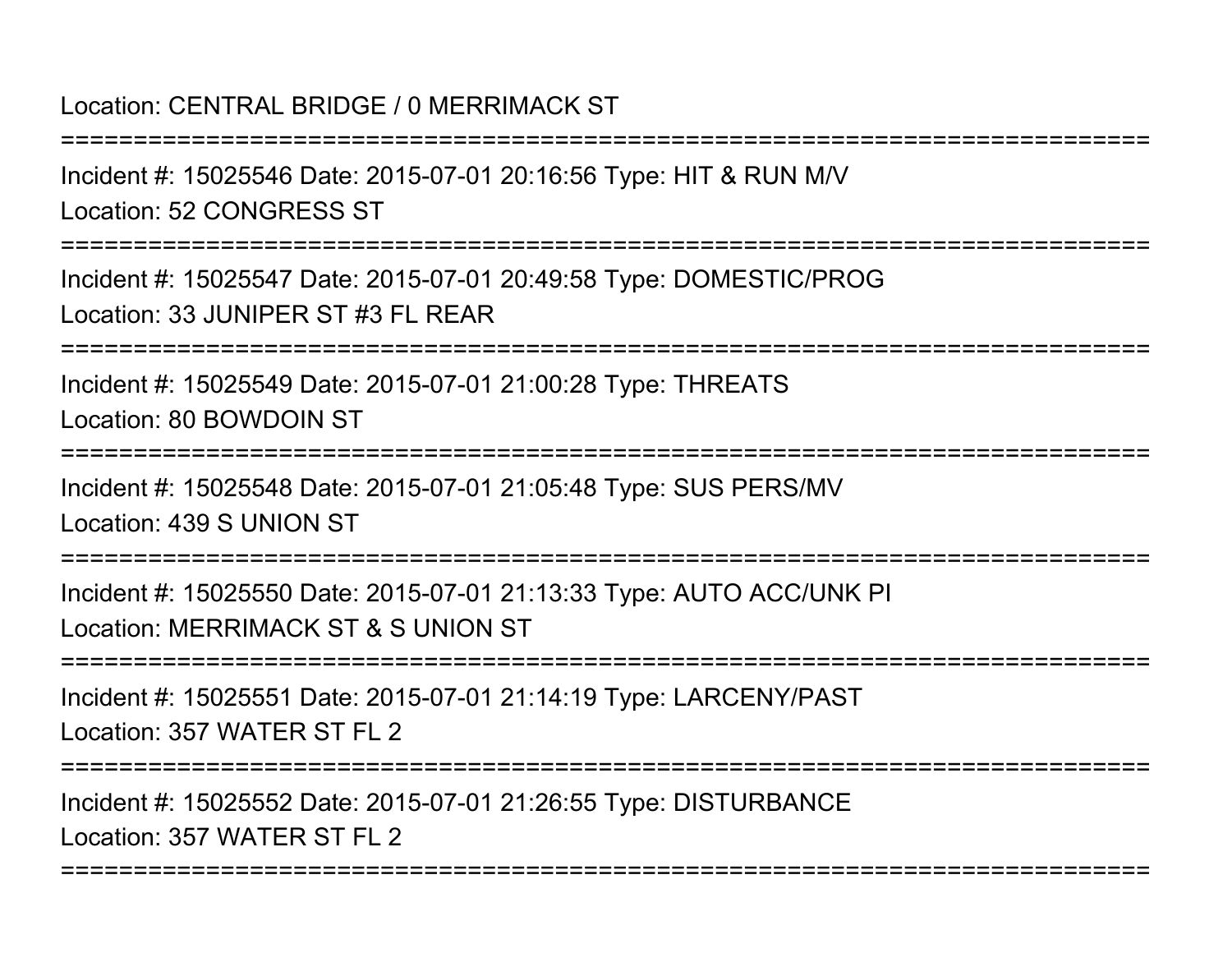### Location: CENTRAL BRIDGE / 0 MERRIMACK ST

===========================================================================Incident #: 15025546 Date: 2015-07-01 20:16:56 Type: HIT & RUN M/VLocation: 52 CONGRESS ST===========================================================================Incident #: 15025547 Date: 2015-07-01 20:49:58 Type: DOMESTIC/PROGLocation: 33 JUNIPER ST #3 FL REAR===========================================================================Incident #: 15025549 Date: 2015-07-01 21:00:28 Type: THREATSLocation: 80 BOWDOIN ST===========================================================================Incident #: 15025548 Date: 2015-07-01 21:05:48 Type: SUS PERS/MVLocation: 439 S UNION ST===========================================================================Incident #: 15025550 Date: 2015-07-01 21:13:33 Type: AUTO ACC/UNK PILocation: MERRIMACK ST & S UNION ST===========================================================================Incident #: 15025551 Date: 2015-07-01 21:14:19 Type: LARCENY/PASTLocation: 357 WATER ST FL 2===========================================================================

Incident #: 15025552 Date: 2015-07-01 21:26:55 Type: DISTURBANCELocation: 357 WATER ST FL 2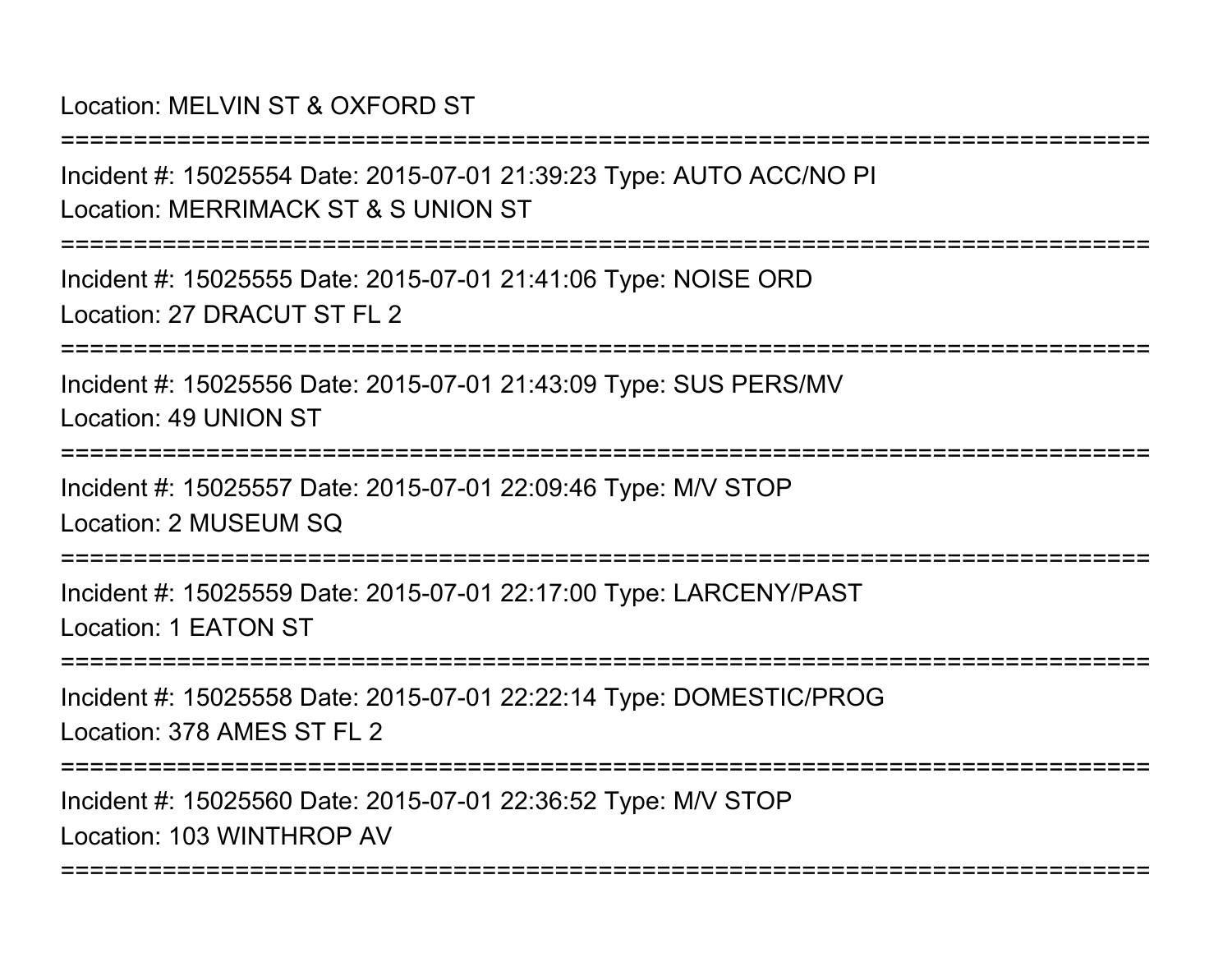## Location: MELVIN ST & OXFORD ST

Incident #: 15025554 Date: 2015-07-01 21:39:23 Type: AUTO ACC/NO PILocation: MERRIMACK ST & S UNION ST

===========================================================================

===========================================================================

Incident #: 15025555 Date: 2015-07-01 21:41:06 Type: NOISE ORDLocation: 27 DRACUT ST FL 2

===========================================================================

Incident #: 15025556 Date: 2015-07-01 21:43:09 Type: SUS PERS/MVLocation: 49 UNION ST

===========================================================================

Incident #: 15025557 Date: 2015-07-01 22:09:46 Type: M/V STOPLocation: 2 MUSEUM SQ

========================

Incident #: 15025559 Date: 2015-07-01 22:17:00 Type: LARCENY/PASTLocation: 1 EATON ST

===========================================================================

Incident #: 15025558 Date: 2015-07-01 22:22:14 Type: DOMESTIC/PROGLocation: 378 AMES ST FL 2

===========================================================================

===========================================================================

Incident #: 15025560 Date: 2015-07-01 22:36:52 Type: M/V STOPLocation: 103 WINTHROP AV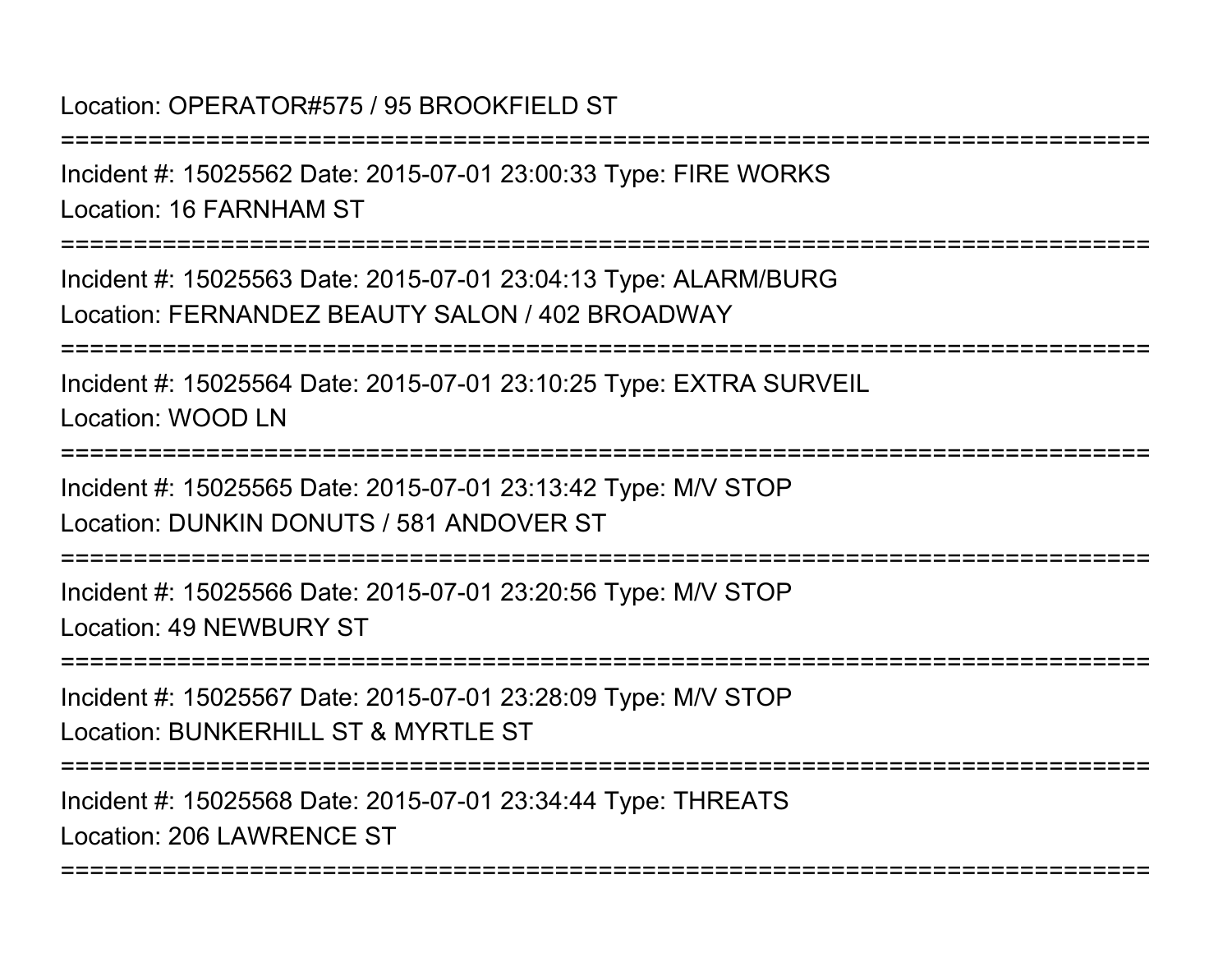Location: OPERATOR#575 / 95 BROOKFIELD ST

===========================================================================Incident #: 15025562 Date: 2015-07-01 23:00:33 Type: FIRE WORKSLocation: 16 FARNHAM ST===========================================================================Incident #: 15025563 Date: 2015-07-01 23:04:13 Type: ALARM/BURGLocation: FERNANDEZ BEAUTY SALON / 402 BROADWAY===========================================================================Incident #: 15025564 Date: 2015-07-01 23:10:25 Type: EXTRA SURVEILLocation: WOOD LN===========================================================================Incident #: 15025565 Date: 2015-07-01 23:13:42 Type: M/V STOPLocation: DUNKIN DONUTS / 581 ANDOVER ST===========================================================================Incident #: 15025566 Date: 2015-07-01 23:20:56 Type: M/V STOPLocation: 49 NEWBURY ST===========================================================================Incident #: 15025567 Date: 2015-07-01 23:28:09 Type: M/V STOPLocation: BUNKERHILL ST & MYRTLE ST===========================================================================Incident #: 15025568 Date: 2015-07-01 23:34:44 Type: THREATSLocation: 206 LAWRENCE ST